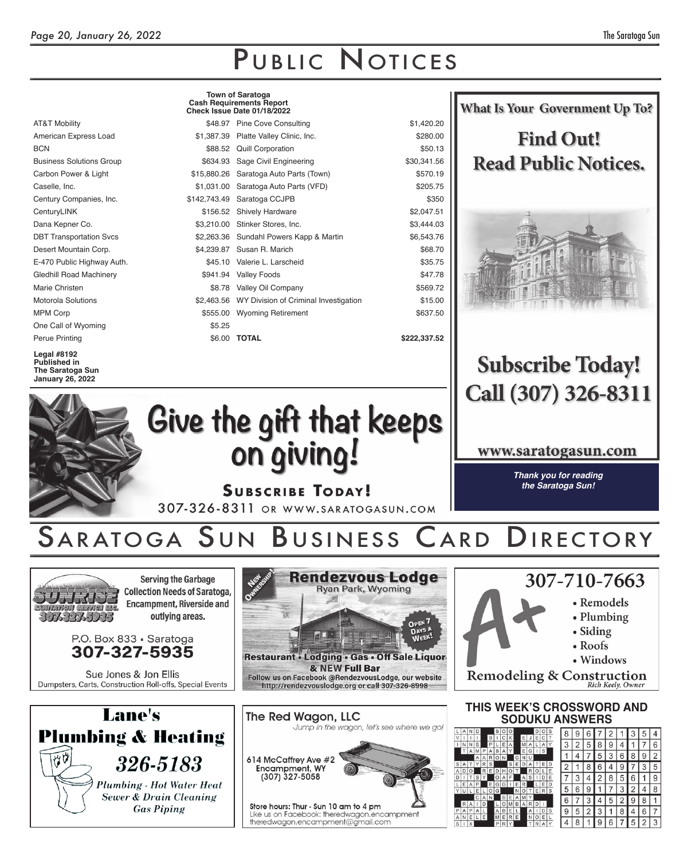|                                                               |              | <b>Town of Saratoga</b><br><b>Cash Requirements Report</b><br>Check Issue Date 01/18/2022 | <b>What Is Your Government Up To?</b> |                             |  |  |  |
|---------------------------------------------------------------|--------------|-------------------------------------------------------------------------------------------|---------------------------------------|-----------------------------|--|--|--|
| <b>AT&amp;T Mobility</b>                                      |              | \$48.97 Pine Cove Consulting                                                              | \$1,420.20                            |                             |  |  |  |
| American Express Load                                         |              | \$1,387.39 Platte Valley Clinic, Inc.                                                     | \$280.00                              | <b>Find Out!</b>            |  |  |  |
| <b>BCN</b>                                                    |              | \$88.52 Quill Corporation                                                                 | \$50.13                               |                             |  |  |  |
| <b>Business Solutions Group</b>                               | \$634.93     | Sage Civil Engineering                                                                    | \$30,341.56                           | <b>Read Public Notices.</b> |  |  |  |
| Carbon Power & Light                                          | \$15,880.26  | Saratoga Auto Parts (Town)                                                                | \$570.19                              |                             |  |  |  |
| Caselle, Inc.                                                 |              | \$1,031.00 Saratoga Auto Parts (VFD)                                                      | \$205.75                              |                             |  |  |  |
| Century Companies, Inc.                                       | \$142,743.49 | Saratoga CCJPB                                                                            | \$350                                 |                             |  |  |  |
| CenturyLINK                                                   |              | \$156.52 Shively Hardware                                                                 | \$2,047.51                            |                             |  |  |  |
| Dana Kepner Co.                                               |              | \$3,210.00 Stinker Stores, Inc.                                                           | \$3,444.03                            |                             |  |  |  |
| <b>DBT Transportation Svcs</b>                                |              | \$2,263.36 Sundahl Powers Kapp & Martin                                                   | \$6,543.76                            |                             |  |  |  |
| Desert Mountain Corp.                                         | \$4,239.87   | Susan R. Marich                                                                           | \$68.70                               |                             |  |  |  |
| E-470 Public Highway Auth.                                    |              | \$45.10 Valerie L. Larscheid                                                              | \$35.75                               |                             |  |  |  |
| <b>Gledhill Road Machinery</b>                                | \$941.94     | <b>Valley Foods</b>                                                                       | \$47.78                               |                             |  |  |  |
| Marie Christen                                                | \$8.78       | Valley Oil Company                                                                        | \$569.72                              |                             |  |  |  |
| <b>Motorola Solutions</b>                                     | \$2,463.56   | WY Division of Criminal Investigation                                                     | \$15.00                               |                             |  |  |  |
| <b>MPM Corp</b>                                               |              | \$555.00 Wyoming Retirement                                                               | \$637.50                              |                             |  |  |  |
| One Call of Wyoming                                           | \$5.25       |                                                                                           |                                       |                             |  |  |  |
| Perue Printing                                                | \$6.00       | <b>TOTAL</b>                                                                              | \$222,337.52                          |                             |  |  |  |
| <b>Legal #8192</b><br><b>Published in</b><br>The Saratoga Sun |              |                                                                                           |                                       | <b>Subscribe Today!</b>     |  |  |  |

**Legal #8192 Published in The Saratoga Sun**

| <b>January 26, 2022</b>                                                                                                                                                                                                                                                 |                                                                                                                                                                                                                                                                          |                                                                                                                   |  |  |  |  |
|-------------------------------------------------------------------------------------------------------------------------------------------------------------------------------------------------------------------------------------------------------------------------|--------------------------------------------------------------------------------------------------------------------------------------------------------------------------------------------------------------------------------------------------------------------------|-------------------------------------------------------------------------------------------------------------------|--|--|--|--|
| Give the gift that keeps<br>on giving!                                                                                                                                                                                                                                  | Call (307) 326-8311<br>www.saratogasun.com<br>Thank you for reading                                                                                                                                                                                                      |                                                                                                                   |  |  |  |  |
|                                                                                                                                                                                                                                                                         | <b>SUBSCRIBE TODAY!</b><br>307-326-8311 OR WWW.SARATOGASUN.COM<br>SARATOGA SUN BUSINESS CARD DIRECTORY                                                                                                                                                                   | the Saratoga Sun!                                                                                                 |  |  |  |  |
| <b>Serving the Garbage</b><br><b>Collection Needs of Saratoga,</b><br><b>Encampment, Riverside and</b><br>outlying areas.<br>3073275333<br>P.O. Box 833 · Saratoga<br>307-327-5935<br>Sue Jones & Jon Ellis<br>Dumpsters, Carts, Construction Roll-offs, Special Events | <b>Rendezvous Lodge</b><br>Outrick St<br>Ryan Park, Wyoming<br>OPEN 7<br>DAYS A<br>A<br>EH I<br>Restaurant - Lodging - Gas - Off Sale Liquor<br>& NEW Full Bar<br>Follow us on Facebook @RendezvousLodge, our website<br>http://rendezvouslodge.org or call 307-326-8998 | 307-710-7663<br>• Remodels<br>• Plumbing<br>$\bullet$ Siding<br>• Roofs<br>• Windows<br>Remodeling & Construction |  |  |  |  |
| ane's                                                                                                                                                                                                                                                                   | The Red Wagon, LLC                                                                                                                                                                                                                                                       | THIS WEEK'S CROSSWORD AND<br>CODIIVII ANCWEDC                                                                     |  |  |  |  |





|   | <b>SODUKU ANSWERS</b> |        |              |         |        |        |        |        |        |   |         |        |  |   |   |   |   |   |   |   |   |                         |
|---|-----------------------|--------|--------------|---------|--------|--------|--------|--------|--------|---|---------|--------|--|---|---|---|---|---|---|---|---|-------------------------|
|   |                       |        |              | в       | υ      |        |        |        |        | D | C       | S      |  | 8 | 9 | 6 |   |   |   |   | 5 |                         |
|   | S                     |        | S<br>P       |         | E      |        |        | Ε<br>M | A      | E | A       | Υ      |  | 3 | 2 | 5 | 8 | 9 | 4 |   |   | 6                       |
| Ą | M<br>Α                | P<br>Α | A<br>R       | B<br>٥I | A<br>N |        | G      | E<br>N | G<br>U |   | S       |        |  |   | 4 |   | 5 | 3 | 6 | 8 | 9 | $\overline{\mathbf{c}}$ |
|   | Υ                     | R<br>R | S<br>Ε       |         | H      | S<br>O | E      | D      | Α<br>R | O | Ε       | D<br>E |  | 2 |   | 8 | 6 |   | g |   | 3 | 5                       |
|   | S                     |        |              | D<br>O  |        | F      |        | Α      | S      |   | D       | E      |  |   | 3 | 4 | 2 | 8 | 5 | 6 | 1 | 9                       |
|   | P<br>Ε                |        | Ε<br>$\circ$ | G<br>G  | G      |        | Ε<br>N | R      |        | E | E<br>R. | D<br>S |  | 5 | 6 | g |   |   |   |   | 4 | 8                       |
|   | C                     | А      | N            |         | S      | E      | А      |        |        |   |         |        |  | 6 |   |   |   | 5 |   | 9 | 8 |                         |
| 5 | A                     | D      |              | Α       | О<br>B | M<br>E | B      | Α      | R<br>Α |   | D       | S      |  | 9 | 5 | 2 | 3 |   | 8 |   | 6 | 7                       |
|   |                       | E      |              | M<br>P  | E      | R      | E      |        | N      | O | Ε       |        |  | 4 | 8 |   | 9 | 6 |   | 5 | 2 | 3                       |

 $\begin{array}{c|c} \text{S} & \text{A} \\ \text{A} & \text{D} \\ \text{C} & \text{I} \\ \text{C} & \text{U} \end{array}$ 

 $\begin{array}{c|c}\nP & A & B \\
\hline\nA & N & B \\
\hline\nS & 1 & 1\n\end{array}$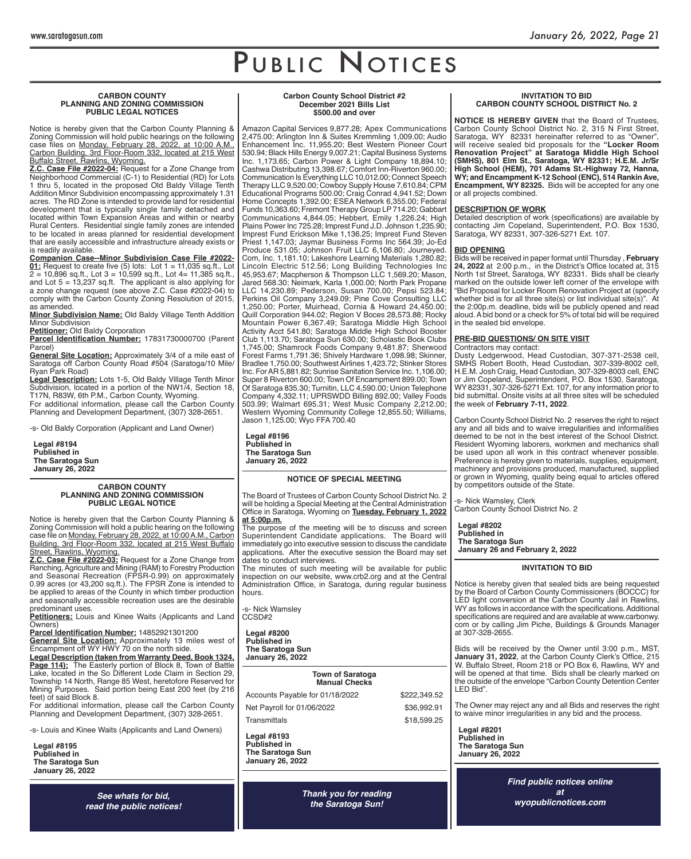#### **CARBON COUNTY PLANNING AND ZONING COMMISSION PUBLIC LEGAL NOTICES**

Notice is hereby given that the Carbon County Planning & Zoning Commission will hold public hearings on the following case files on <u>Monday, February 28, 2022, at 10:00 A.M.,</u> Carbon Building, 3rd Floor-Room 332, located at 215 West Buffalo Street, Rawlins, Wyoming.

**Z.C. Case File #2022-04:** Request for a Zone Change from Neighborhood Commercial (C-1) to Residential (RD) for Lots 1 thru 5, located in the proposed Old Baldy Village Tenth Addition Minor Subdivision encompassing approximately 1.31 acres. The RD Zone is intended to provide land for residential development that is typically single family detached and located within Town Expansion Areas and within or nearby Rural Centers. Residential single family zones are intended to be located in areas planned for residential development that are easily accessible and infrastructure already exists or is readily available.

**Companion Case--Minor Subdivision Case File #2022- 01:** Request to create five (5) lots: Lot 1 = 11,035 sq.ft., Lot 2 = 10,896 sq.ft., Lot 3 = 10,599 sq.ft., Lot 4= 11,385 sq.ft., and Lot 5 = 13,237 sq.ft. The applicant is also applying for a zone change request (see above Z.C. Case #2022-04) to comply with the Carbon County Zoning Resolution of 2015, as amended.

**Minor Subdivision Name:** Old Baldy Village Tenth Addition Minor Subdivision

**Petitioner:** Old Baldy Corporation

Parcel Identification Number: 17831730000700 (Parent Parcel)

**General Site Location:** Approximately 3/4 of a mile east of Saratoga off Carbon County Road #504 (Saratoga/10 Mile/ Ryan Park Road)

**Legal Description:** Lots 1-5, Old Baldy Village Tenth Minor Subdivision, located in a portion of the NW1/4, Section 18, T17N, R83W, 6th P.M., Carbon County, Wyoming. For additional information, please call the Carbon County

Planning and Development Department, (307) 328-2651.

-s- Old Baldy Corporation (Applicant and Land Owner)

**Legal #8194 Published in The Saratoga Sun January 26, 2022**

#### **CARBON COUNTY PLANNING AND ZONING COMMISSION PUBLIC LEGAL NOTICE**

Notice is hereby given that the Carbon County Planning & Zoning Commission will hold a public hearing on the following case file on Monday, February 28, 2022, at 10:00 A.M., Carbon Building, 3rd Floor-Room 332, located at 215 West Buffalo Street, Rawlins, Wyoming.

 **Z.C. Case File #2022-03:** Request for a Zone Change from Ranching, Agriculture and Mining (RAM) to Forestry Production and Seasonal Recreation (FPSR-0.99) on approximately 0.99 acres (or 43,200 sq.ft.). The FPSR Zone is intended to be applied to areas of the County in which timber production and seasonally accessible recreation uses are the desirable predominant uses.

**Petitioners:** Louis and Kinee Waits (Applicants and Land Owners)

Parcel Identification Number: 14852921301200 **General Site Location:** Approximately 13 miles west of Encampment off WY HWY 70 on the north side. **Legal Description (taken from Warranty Deed, Book 1324, Page 114):** The Easterly portion of Block 8, Town of Battle Lake, located in the So Different Lode Claim in Section 29,

Township 14 North, Range 85 West, heretofore Reserved for Mining Purposes. Said portion being East 200 feet (by 216 feet) of said Block 8.

For additional information, please call the Carbon County Planning and Development Department, (307) 328-2651.

-s- Louis and Kinee Waits (Applicants and Land Owners)

**Legal #8195 Published in The Saratoga Sun January 26, 2022**

> **See whats for bid,** *read the public notices!*

#### **Carbon County School District #2 December 2021 Bills List \$500.00 and over**

Amazon Capital Services 9,877.28; Apex Communications 2,475.00; Arlington Inn & Suites Kremmling 1,009.00; Audio Enhancement Inc. 11,955.20; Best Western Pioneer Court 530.94; Black Hills Energy 9,007.21; Capital Business Systems Inc. 1,173.65; Carbon Power & Light Company 18,894.10; Cashwa Distributing 13,398.67; Comfort Inn-Riverton 960.00; Communication Is Everything LLC 10,012.00; Connect Speech Therapy LLC 9,520.00; Cowboy Supply House 7,610.84; CPM Educational Programs 500.00; Craig Conrad 4,941.52; Down Home Concepts 1,392.00; ESEA Network 6,355.00; Federal Funds 10,363.60; Fremont Therapy Group LP 714.20; Gabbart Communications 4,844.05; Hebbert, Emily 1,226.24; High Plains Power Inc 725.28; Imprest Fund J.D. Johnson 1,235.90; Imprest Fund Erickson Mike 1,136.25; Imprest Fund Steven Priest 1,147.03; Jaymar Business Forms Inc 564.39; Jo-Ed Produce 531.05; Johnson Fruit LLC 6,106.80; Journeyed. Com, Inc. 1,181.10; Lakeshore Learning Materials 1,280.82; Lincoln Electric 512.56; Long Building Technologies Inc 45,953.67; Macpherson & Thompson LLC 1,569.20; Mason, Jared 568.30; Neimark, Karla 1,000.00; North Park Propane LLC 14,230.89; Pederson, Susan 700.00; Pepsi 523.84; Perkins Oil Company 3,249.09; Pine Cove Consulting LLC 1,250.00; Porter, Muirhead, Cornia & Howard 24,450.00; Quill Corporation 944.02; Region V Boces 28,573.88; Rocky Mountain Power 6,367.49; Saratoga Middle High School Activity Acct 541.80; Saratoga Middle High School Booster Club 1,113.70; Saratoga Sun 630.00; Scholastic Book Clubs 1,745.00; Shamrock Foods Company 9,481.87; Sherwood Forest Farms 1,791.36; Shively Hardware 1,098.98; Skinner, Bradlee 1,750.00; Southwest Airlines 1,423.72; Stinker Stores Inc. For AR 5,881.82; Sunrise Sanitation Service Inc. 1,106.00; Super 8 Riverton 600.00; Town Of Encampment 899.00; Town Of Saratoga 835.30; Turnitin, LLC 4,590.00; Union Telephone Company 4,332.11; UPRSWDD Billing 892.00; Valley Foods 503.99; Walmart 695.31; West Music Company 2,212.00; Western Wyoming Community College 12,855.50; Williams, Jason 1,125.00; Wyo FFA 700.40

**Legal #8196 Published in The Saratoga Sun January 26, 2022**

## **NOTICE OF SPECIAL MEETING**

The Board of Trustees of Carbon County School District No. 2 will be holding a Special Meeting at the Central Administration Office in Saratoga, Wyoming on Tuesday, February 1, 2022 **at 5:00p.m.**

The purpose of the meeting will be to discuss and screen Superintendent Candidate applications. The Board will immediately go into executive session to discuss the candidate applications. After the executive session the Board may set dates to conduct interviews.

The minutes of such meeting will be available for public inspection on our website, www.crb2.org and at the Central Administration Office, in Saratoga, during regular business hours.

-s- Nick Wamsley CCSD#2

**Legal #8200 Published in The Saratoga Sun January 26, 2022**

**Town of Saratoga**

**Manual Checks**

Accounts Payable for 01/18/2022 \$222,349.52

Net Payroll for 01/06/2022 \$36,992.91

Transmittals \$18,599.25

**Legal #8193 Published in The Saratoga Sun January 26, 2022**

> *Thank you for reading the Saratoga Sun!*

#### **INVITATION TO BID CARBON COUNTY SCHOOL DISTRICT No. 2**

**NOTICE IS HEREBY GIVEN** that the Board of Trustees, Carbon County School District No. 2, 315 N First Street, Saratoga, WY 82331 hereinafter referred to as "Owner" will receive sealed bid proposals for the **"Locker Room Renovation Project" at Saratoga Middle High School (SMHS), 801 Elm St., Saratoga, WY 82331; H.E.M. Jr/Sr High School (HEM), 701 Adams St.-Highway 72, Hanna, WY; and Encampment K-12 School (ENC), 514 Rankin Ave,**  Encampment, WY 82325. Bids will be accepted for any one or all projects combined.

# **DESCRIPTION OF WORK**

Detailed description of work (specifications) are available by contacting Jim Copeland, Superintendent, P.O. Box 1530, Saratoga, WY 82331, 307-326-5271 Ext. 107.

## **BID OPENING**

Bids will be received in paper format until Thursday , **February 24, 2022** at 2:00 p.m., in the District's Office located at, 315 North 1st Street, Saratoga, WY 82331. Bids shall be clearly marked on the outside lower left corner of the envelope with "Bid Proposal for Locker Room Renovation Project at (specify whether bid is for all three site(s) or list individual site(s)". At the 2:00p.m. deadline, bids will be publicly opened and read aloud. A bid bond or a check for 5% of total bid will be required in the sealed bid envelope.

## **PRE-BID QUESTIONS/ ON SITE VISIT**

Contractors may contact: Dusty Ledgerwood, Head Custodian, 307-371-2538 cell, SMHS Robert Booth, Head Custodian, 307-339-8002 cell, H.E.M. Josh Craig, Head Custodian, 307-329-8003 cell, ENC or Jim Copeland, Superintendent, P.O. Box 1530, Saratoga, WY 82331, 307-326-5271 Ext. 107, for any information prior to bid submittal. Onsite visits at all three sites will be scheduled the week of **February 7-11, 2022**.

Carbon County School District No. 2 reserves the right to reject any and all bids and to waive irregularities and informalities deemed to be not in the best interest of the School District. Resident Wyoming laborers, workmen and mechanics shall be used upon all work in this contract whenever possible. Preference is hereby given to materials, supplies, equipment, machinery and provisions produced, manufactured, supplied or grown in Wyoming, quality being equal to articles offered by competitors outside of the State.

-s- Nick Wamsley, Clerk Carbon County School District No. 2

**Legal #8202 Published in The Saratoga Sun January 26 and February 2, 2022**

## **INVITATION TO BID**

Notice is hereby given that sealed bids are being requested by the Board of Carbon County Commissioners (BOCCC) for LED light conversion at the Carbon County Jail in Rawlins, WY as follows in accordance with the specifications. Additional specifications are required and are available at www.carbonwy. com or by calling Jim Piche, Buildings & Grounds Manager at 307-328-2655.

Bids will be received by the Owner until 3:00 p.m., MST, **January 31, 2022**, at the Carbon County Clerk's Office, 215 W. Buffalo Street, Room 218 or PO Box 6, Rawlins, WY and will be opened at that time. Bids shall be clearly marked on the outside of the envelope "Carbon County Detention Center LED Bid".

The Owner may reject any and all Bids and reserves the right to waive minor irregularities in any bid and the process.

**Legal #8201 Published in The Saratoga Sun January 26, 2022**

> *Find public notices online at wyopublicnotices.com*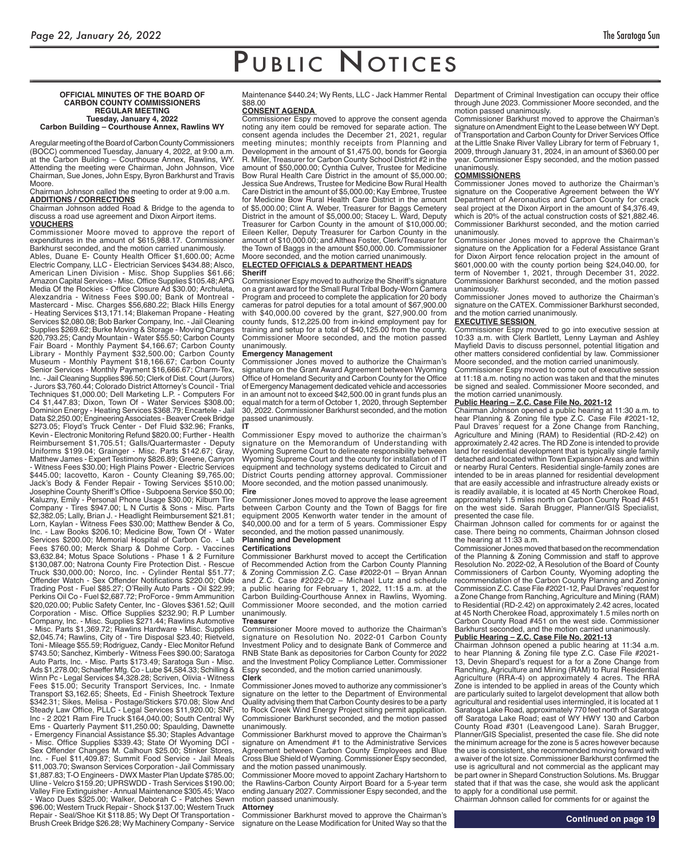#### **OFFICIAL MINUTES OF THE BOARD OF CARBON COUNTY COMMISSIONERS REGULAR MEETING Tuesday, January 4, 2022 Carbon Building – Courthouse Annex, Rawlins WY**

A regular meeting of the Board of Carbon County Commissioners (BOCC) commenced Tuesday, January 4, 2022, at 9:00 a.m. at the Carbon Building – Courthouse Annex, Rawlins, WY. Attending the meeting were Chairman, John Johnson, Vice Chairman, Sue Jones, John Espy, Byron Barkhurst and Travis Moore.

Chairman Johnson called the meeting to order at 9:00 a.m. **ADDITIONS / CORRECTIONS**

Chairman Johnson added Road & Bridge to the agenda to discuss a road use agreement and Dixon Airport items. **VOUCHERS**

Commissioner Moore moved to approve the report of expenditures in the amount of \$615,988.17. Commissioner Barkhurst seconded, and the motion carried unanimously. Ables, Duane E- County Health Officer \$1,600.00; Acme Electric Company, LLC - Electrician Services \$434.88; Alsco, American Linen Division - Misc. Shop Supplies \$61.66; Amazon Capital Services - Misc. Office Supplies \$105.48; APG Media Of the Rockies - Office Closure Ad \$30.00; Archuleta, Alexzandria - Witness Fees \$90.00; Bank of Montreal - Mastercard - Misc. Charges \$56,680.22; Black Hills Energy - Heating Services \$13,171.14; Blakeman Propane - Heating Services \$2,080.08; Bob Barker Company, Inc. - Jail Cleaning Supplies \$269.62; Burke Moving & Storage - Moving Charges \$20,793.25; Candy Mountain - Water \$55.50; Carbon County Fair Board - Monthly Payment \$4,166.67; Carbon County Library - Monthly Payment \$32,500.00; Carbon County Museum - Monthly Payment \$18,166.67; Carbon County Senior Services - Monthly Payment \$16,666.67; Charm-Tex, Inc. - Jail Cleaning Supplies \$96.50; Clerk of Dist. Court (Jurors) - Jurors \$3,760.44; Colorado District Attorney's Council - Trial Techniques \$1,000.00; Dell Marketing L.P. - Computers For C4 \$1,447.83; Dixon, Town Of - Water Services \$308.00;<br>Dominion Energy, Hecting Of - Water Services \$308.00; Dominion Energy - Heating Services \$368.79; Encartele - Jail Data \$2,250.00; Engineering Associates - Beaver Creek Bridge \$273.05; Floyd's Truck Center - Def Fluid \$32.96; Franks, Kevin - Electronic Monitoring Refund \$820.00; Further - Health Reimbursement \$1,705.51; Galls/Quartermaster - Deputy Uniforms \$199.04; Grainger - Misc. Parts \$142.67; Gray, Matthew James - Expert Testimony \$826.89; Greene, Canyon - Witness Fees \$30.00; High Plains Power - Electric Services \$445.00; Iacovetto, Karon - County Cleaning \$9,765.00; Jack's Body & Fender Repair - Towing Services \$510.00; Josephine County Sheriff's Office - Subpoena Service \$50.00; Kaluzny, Emily - Personal Phone Usage \$30.00; Kilburn Tire Company - Tires \$947.00; L N Curtis & Sons - Misc. Parts \$2,382.05; Lally, Brian J. - Headlight Reimbursement \$21.81; Lorn, Kaylan - Witness Fees \$30.00; Matthew Bender & Co, Inc. - Law Books \$206.10; Medicine Bow, Town Of - Water Services \$200.00; Memorial Hospital of Carbon Co. - Lab Fees \$760.00; Merck Sharp & Dohme Corp. - Vaccines \$3,632.84; Motus Space Solutions - Phase 1 & 2 Furniture \$130,087.00; Natrona County Fire Protection Dist. - Rescue Truck \$30,000.00; Norco, Inc. - Cylinder Rental \$51.77; Offender Watch - Sex Offender Notifications \$220.00; Olde Trading Post - Fuel \$85.27; O'Reilly Auto Parts - Oil \$22.99; Perkins Oil Co - Fuel \$2,687.72; ProForce - 9mm Ammunition \$20,020.00; Public Safety Center, Inc - Gloves \$361.52; Quill Corporation - Misc. Office Supplies \$232.90; R.P Lumber Company, Inc. - Misc. Supplies \$271.44; Rawlins Automotive Misc. Parts \$1,369.72; Rawlins Hardware - Misc. Supplies \$2,045.74; Rawlins, City of - Tire Disposal \$23.40; Rietveld, Toni - Mileage \$55.59; Rodriguez, Candy - Elec Monitor Refund \$743.50; Sanchez, Kimberly - Witness Fees \$90.00; Saratoga Auto Parts, Inc. - Misc. Parts \$173.49; Saratoga Sun - Misc. Ads \$1,278.00; Schaeffer Mfg. Co - Lube \$4,584.33; Schilling & Winn Pc - Legal Services \$4,328.28; Scriven, Olivia - Witness Fees \$15.00; Security Transport Services, Inc. - Inmate Transport \$3,162.65; Sheets, Ed - Finish Sheetrock Texture \$342.31; Sikes, Melisa - Postage/Stickers \$70.08; Slow And Steady Law Office, PLLC - Legal Services \$11,920.00; SNF, Inc - 2 2021 Ram Fire Truck \$164,040.00; South Central Wy Ems - Quarterly Payment \$11,250.00; Spaulding, Dawnette

- Emergency Financial Assistance \$5.30; Staples Advantage - Misc. Office Supplies \$339.43; State Of Wyoming DCI -Sex Offender Changes M. Calhoun \$25.00; Stinker Stores, Inc. - Fuel \$11,409.87; Summit Food Service - Jail Meals \$11,003.70; Swanson Services Corporation - Jail Commissary \$1,887.83; T-O Engineers - DWX Master Plan Update \$785.00; Uline - Velcro \$159.20; UPRSWDD - Trash Services \$190.00; Valley Fire Extinguisher - Annual Maintenance \$305.45; Waco - Waco Dues \$325.00; Walker, Deborah C - Patches Sewn \$96.00; Western Truck Repair - Shock \$137.00; Western Truck Repair - Seal/Shoe Kit \$118.85; Wy Dept Of Transportation - Brush Creek Bridge \$26.28; Wy Machinery Company - Service

Maintenance \$440.24; Wy Rents, LLC - Jack Hammer Rental \$88.00

# **CONSENT AGENDA**

Commissioner Espy moved to approve the consent agenda noting any item could be removed for separate action. The consent agenda includes the December 21, 2021, regular meeting minutes; monthly receipts from Planning and Development in the amount of \$1,475.00, bonds for Georgia R. Miller, Treasurer for Carbon County School District #2 in the amount of \$50,000.00; Cynthia Culver, Trustee for Medicine Bow Rural Health Care District in the amount of \$5,000.00; Jessica Sue Andrews, Trustee for Medicine Bow Rural Health Care District in the amount of \$5,000.00; Kay Embree, Trustee for Medicine Bow Rural Health Care District in the amount of \$5,000.00; Clint A. Weber, Treasurer for Baggs Cemetery District in the amount of \$5,000.00; Stacey L. Ward, Deputy Treasurer for Carbon County in the amount of \$10,000.00; Eileen Keller, Deputy Treasurer for Carbon County in the amount of \$10,000.00; and Althea Foster, Clerk/Treasurer for the Town of Baggs in the amount \$50,000.00. Commissioner Moore seconded, and the motion carried unanimously.

## **ELECTED OFFICIALS & DEPARTMENT HEADS Sheriff**

Commissioner Espy moved to authorize the Sheriff's signature on a grant award for the Small Rural Tribal Body-Worn Camera Program and proceed to complete the application for 20 body cameras for patrol deputies for a total amount of \$67,900.00 with \$40,000.00 covered by the grant, \$27,900.00 from county funds, \$12,225.00 from in-kind employment pay for training and setup for a total of \$40,125.00 from the county. Commissioner Moore seconded, and the motion passed unanimously.

### **Emergency Management**

Commissioner Jones moved to authorize the Chairman's signature on the Grant Award Agreement between Wyoming Office of Homeland Security and Carbon County for the Office of Emergency Management dedicated vehicle and accessories in an amount not to exceed \$42,500.00 in grant funds plus an equal match for a term of October 1, 2020, through September 30, 2022. Commissioner Barkhurst seconded, and the motion passed unanimously.

**IT** Commissioner Espy moved to authorize the chairman's signature on the Memorandum of Understanding with Wyoming Supreme Court to delineate responsibility between Wyoming Supreme Court and the county for installation of IT equipment and technology systems dedicated to Circuit and District Courts pending attorney approval. Commissioner Moore seconded, and the motion passed unanimously. **Fire**

Commissioner Jones moved to approve the lease agreement between Carbon County and the Town of Baggs for fire equipment 2005 Kenworth water tender in the amount of \$40,000.00 and for a term of 5 years. Commissioner Espy seconded, and the motion passed unanimously.

#### **Planning and Development Certifications**

Commissioner Barkhurst moved to accept the Certification of Recommended Action from the Carbon County Planning & Zoning Commission Z.C. Case #2022-01 – Bryan Annan and Z.C. Case #2022-02 – Michael Lutz and schedule a public hearing for February 1, 2022, 11:15 a.m. at the Carbon Building-Courthouse Annex in Rawlins, Wyoming. Commissioner Moore seconded, and the motion carried unanimously.

#### **Treasurer**

Commissioner Moore moved to authorize the Chairman's signature on Resolution No. 2022-01 Carbon County Investment Policy and to designate Bank of Commerce and RNB State Bank as depositories for Carbon County for 2022 and the Investment Policy Compliance Letter. Commissioner Espy seconded, and the motion carried unanimously. **Clerk**

Commissioner Jones moved to authorize any commissioner's signature on the letter to the Department of Environmental Quality advising them that Carbon County desires to be a party to Rock Creek Wind Energy Project siting permit application. Commissioner Barkhurst seconded, and the motion passed unanimously.

Commissioner Barkhurst moved to approve the Chairman's signature on Amendment #1 to the Administrative Services Agreement between Carbon County Employees and Blue Cross Blue Shield of Wyoming. Commissioner Espy seconded, and the motion passed unanimously.

Commissioner Moore moved to appoint Zachary Hartshorn to the Rawlins-Carbon County Airport Board for a 5-year term ending January 2027. Commissioner Espy seconded, and the motion passed unanimously.

# **Attorney**

Commissioner Barkhurst moved to approve the Chairman's signature on the Lease Modification for United Way so that the Department of Criminal Investigation can occupy their office through June 2023. Commissioner Moore seconded, and the motion passed unanimously.

Commissioner Barkhurst moved to approve the Chairman's signature on Amendment Eight to the Lease between WY Dept. of Transportation and Carbon County for Driver Services Office at the Little Snake River Valley Library for term of February 1, 2009, through January 31, 2024, in an amount of \$360.00 per year. Commissioner Espy seconded, and the motion passed unanimously.

# **COMMISSIONERS**

Commissioner Jones moved to authorize the Chairman's signature on the Cooperative Agreement between the WY Department of Aeronautics and Carbon County for crack seal project at the Dixon Airport in the amount of \$4,376.49, which is 20% of the actual construction costs of \$21,882.46. Commissioner Barkhurst seconded, and the motion carried unanimously.

Commissioner Jones moved to approve the Chairman's signature on the Application for a Federal Assistance Grant for Dixon Airport fence relocation project in the amount of \$601,000.00 with the county portion being \$24,040.00, for term of November 1, 2021, through December 31, 2022. Commissioner Barkhurst seconded, and the motion passed unanimously.

Commissioner Jones moved to authorize the Chairman's signature on the CATEX. Commissioner Barkhurst seconded, and the motion carried unanimously.

## **EXECUTIVE SESSION**

Commissioner Espy moved to go into executive session at 10:33 a.m. with Clerk Bartlett, Lenny Layman and Ashley Mayfield Davis to discuss personnel, potential litigation and other matters considered confidential by law. Commissioner Moore seconded, and the motion carried unanimously.

Commissioner Espy moved to come out of executive session at 11:18 a.m. noting no action was taken and that the minutes be signed and sealed. Commissioner Moore seconded, and the motion carried unanimously.

# **Public Hearing – Z.C. Case File No. 2021-12**

Chairman Johnson opened a public hearing at 11:30 a.m. to hear Planning & Zoning file type Z.C. Case File #2021-12, Paul Draves' request for a Zone Change from Ranching, Agriculture and Mining (RAM) to Residential (RD-2.42) on approximately 2.42 acres. The RD Zone is intended to provide land for residential development that is typically single family detached and located within Town Expansion Areas and within or nearby Rural Centers. Residential single-family zones are intended to be in areas planned for residential development that are easily accessible and infrastructure already exists or is readily available, it is located at 45 North Cherokee Road, approximately 1.5 miles north on Carbon County Road #451 on the west side. Sarah Brugger, Planner/GIS Specialist, presented the case file.

Chairman Johnson called for comments for or against the case. There being no comments, Chairman Johnson closed the hearing at 11:33 a.m.

Commissioner Jones moved that based on the recommendation of the Planning & Zoning Commission and staff to approve Resolution No. 2022-02, A Resolution of the Board of County Commissioners of Carbon County, Wyoming adopting the recommendation of the Carbon County Planning and Zoning Commission Z.C. Case File #2021-12, Paul Draves' request for a Zone Change from Ranching, Agriculture and Mining (RAM) to Residential (RD-2.42) on approximately 2.42 acres, located at 45 North Cherokee Road, approximately 1.5 miles north on Carbon County Road #451 on the west side. Commissioner Barkhurst seconded, and the motion carried unanimously.

# **Public Hearing – Z.C. Case File No. 2021-13**

Chairman Johnson opened a public hearing at 11:34 a.m. to hear Planning & Zoning file type Z.C. Case File #2021-13, Devin Shepard's request for a for a Zone Change from Ranching, Agriculture and Mining (RAM) to Rural Residential Agriculture (RRA-4) on approximately 4 acres. The RRA Zone is intended to be applied in areas of the County which are particularly suited to largelot development that allow both agricultural and residential uses intermingled, it is located at 1 Saratoga Lake Road, approximately 770 feet north of Saratoga off Saratoga Lake Road; east of WY HWY 130 and Carbon County Road #301 (Leavengood Lane). Sarah Brugger, Planner/GIS Specialist, presented the case file. She did note the minimum acreage for the zone is 5 acres however because the use is consistent, she recommended moving forward with a waiver of the lot size. Commissioner Barkhurst confirmed the use is agricultural and not commercial as the applicant may be part owner in Shepard Construction Solutions. Ms. Bruggar stated that if that was the case, she would ask the applicant to apply for a conditional use permit. Chairman Johnson called for comments for or against the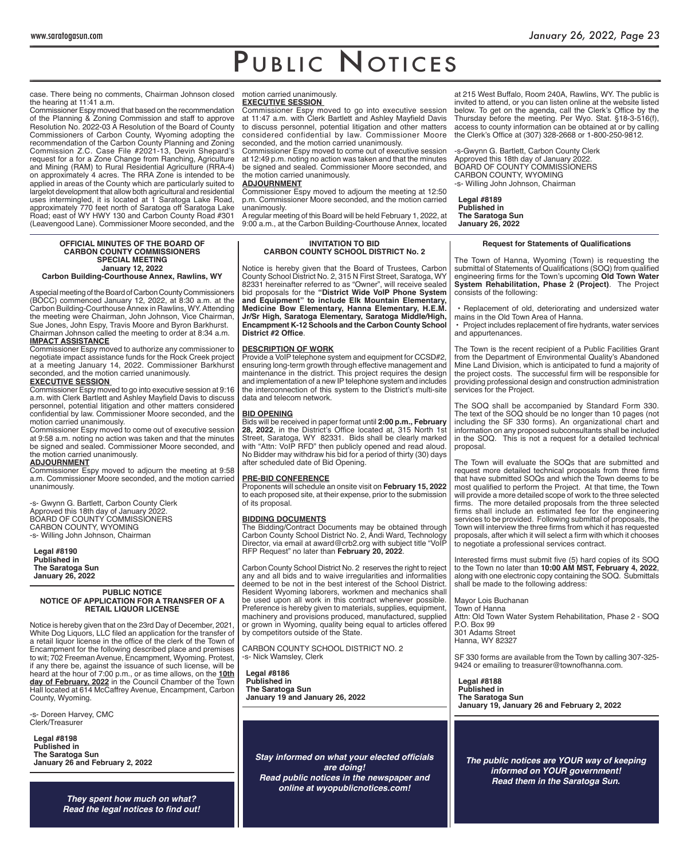case. There being no comments, Chairman Johnson closed the hearing at 11:41 a.m.

Commissioner Espy moved that based on the recommendation of the Planning & Zoning Commission and staff to approve Resolution No. 2022-03 A Resolution of the Board of County Commissioners of Carbon County, Wyoming adopting the recommendation of the Carbon County Planning and Zoning Commission Z.C. Case File #2021-13, Devin Shepard's request for a for a Zone Change from Ranching, Agriculture and Mining (RAM) to Rural Residential Agriculture (RRA-4) on approximately 4 acres. The RRA Zone is intended to be applied in areas of the County which are particularly suited to largelot development that allow both agricultural and residential uses intermingled, it is located at 1 Saratoga Lake Road, approximately 770 feet north of Saratoga off Saratoga Lake Road; east of WY HWY 130 and Carbon County Road #301 (Leavengood Lane). Commissioner Moore seconded, and the

#### **OFFICIAL MINUTES OF THE BOARD OF CARBON COUNTY COMMISSIONERS SPECIAL MEETING January 12, 2022**

# **Carbon Building-Courthouse Annex, Rawlins, WY**

A special meeting of the Board of Carbon County Commissioners (BOCC) commenced January 12, 2022, at 8:30 a.m. at the Carbon Building-Courthouse Annex in Rawlins, WY. Attending the meeting were Chairman, John Johnson, Vice Chairman, Sue Jones, John Espy, Travis Moore and Byron Barkhurst. Chairman Johnson called the meeting to order at 8:34 a.m. **IMPACT ASSISTANCE**

Commissioner Espy moved to authorize any commissioner to negotiate impact assistance funds for the Rock Creek project at a meeting January 14, 2022. Commissioner Barkhurst seconded, and the motion carried unanimously.

**EXECUTIVE SESSION**  Commissioner Espy moved to go into executive session at 9:16 a.m. with Clerk Bartlett and Ashley Mayfield Davis to discuss personnel, potential litigation and other matters considered

confidential by law. Commissioner Moore seconded, and the motion carried unanimously. Commissioner Espy moved to come out of executive session at 9:58 a.m. noting no action was taken and that the minutes be signed and sealed. Commissioner Moore seconded, and

#### the motion carried unanimously. **ADJOURNMENT**

Commissioner Espy moved to adjourn the meeting at 9:58 a.m. Commissioner Moore seconded, and the motion carried unanimously.

-s- Gwynn G. Bartlett, Carbon County Clerk Approved this 18th day of January 2022. BOARD OF COUNTY COMMISSIONERS CARBON COUNTY, WYOMING -s- Willing John Johnson, Chairman

**Legal #8190 Published in The Saratoga Sun January 26, 2022**

#### **PUBLIC NOTICE NOTICE OF APPLICATION FOR A TRANSFER OF A RETAIL LIQUOR LICENSE**

Notice is hereby given that on the 23rd Day of December, 2021, White Dog Liquors, LLC filed an application for the transfer of a retail liquor license in the office of the clerk of the Town of Encampment for the following described place and premises to wit; 702 Freeman Avenue, Encampment, Wyoming. Protest, if any there be, against the issuance of such license, will be heard at the hour of 7:00 p.m., or as time allows, on the **10th day of February, 2022** in the Council Chamber of the Town Hall located at 614 McCaffrey Avenue, Encampment, Carbon County, Wyoming.

-s- Doreen Harvey, CMC Clerk/Treasurer

**Legal #8198 Published in The Saratoga Sun January 26 and February 2, 2022**

> *They spent how much on what?* **Read the legal notices to find out!**

#### motion carried unanimously. **EXECUTIVE SESSION**

Commissioner Espy moved to go into executive session at 11:47 a.m. with Clerk Bartlett and Ashley Mayfield Davis to discuss personnel, potential litigation and other matters considered confidential by law. Commissioner Moore seconded, and the motion carried unanimously.

Commissioner Espy moved to come out of executive session at 12:49 p.m. noting no action was taken and that the minutes be signed and sealed. Commissioner Moore seconded, and the motion carried unanimously.

#### **ADJOURNMENT**

Commissioner Espy moved to adjourn the meeting at 12:50 p.m. Commissioner Moore seconded, and the motion carried unanimously.

A regular meeting of this Board will be held February 1, 2022, at 9:00 a.m., at the Carbon Building-Courthouse Annex, located

# **INVITATION TO BID CARBON COUNTY SCHOOL DISTRICT No. 2**

Notice is hereby given that the Board of Trustees, Carbon County School District No. 2, 315 N First Street, Saratoga, WY 82331 hereinafter referred to as "Owner", will receive sealed bid proposals for the **"District Wide VoIP Phone System and Equipment" to include Elk Mountain Elementary, Medicine Bow Elementary, Hanna Elementary, H.E.M. Jr/Sr High, Saratoga Elementary, Saratoga Middle/High, Encampment K-12 Schools and the Carbon County School District #2 Office.** 

## **DESCRIPTION OF WORK**

Provide a VoIP telephone system and equipment for CCSD#2, ensuring long-term growth through effective management and maintenance in the district. This project requires the design and implementation of a new IP telephone system and includes the interconnection of this system to the District's multi-site data and telecom network.

## **BID OPENING**

Bids will be received in paper format until **2:00 p.m., February 28, 2022**, in the District's Office located at, 315 North 1st Street, Saratoga, WY 82331. Bids shall be clearly marked with "Attn: VoIP RFD" then publicly opened and read aloud. No Bidder may withdraw his bid for a period of thirty (30) days after scheduled date of Bid Opening.

## **PRE-BID CONFERENCE**

Proponents will schedule an onsite visit on **February 15, 2022**  to each proposed site, at their expense, prior to the submission of its proposal.

### **BIDDING DOCUMENTS**

The Bidding/Contract Documents may be obtained through Carbon County School District No. 2, Andi Ward, Technology Director, via email at award@crb2.org with subject title "VoIP RFP Request" no later than **February 20, 2022**.

Carbon County School District No. 2 reserves the right to reject any and all bids and to waive irregularities and informalities deemed to be not in the best interest of the School District. Resident Wyoming laborers, workmen and mechanics shall be used upon all work in this contract whenever possible. Preference is hereby given to materials, supplies, equipment, machinery and provisions produced, manufactured, supplied or grown in Wyoming, quality being equal to articles offered by competitors outside of the State.

CARBON COUNTY SCHOOL DISTRICT NO. 2 -s- Nick Wamsley, Clerk

**Legal #8186 Published in The Saratoga Sun January 19 and January 26, 2022**

**Stay informed on what your elected officials** *are doing! Read public notices in the newspaper and online at wyopublicnotices.com!*

at 215 West Buffalo, Room 240A, Rawlins, WY. The public is invited to attend, or you can listen online at the website listed below. To get on the agenda, call the Clerk's Office by the Thursday before the meeting. Per Wyo. Stat. §18-3-516(f), access to county information can be obtained at or by calling the Clerk's Office at (307) 328-2668 or 1-800-250-9812.

s-Gwynn G. Bartlett, Carbon County Clerk Approved this 18th day of January 2022. BOARD OF COUNTY COMMISSIONERS CARBON COUNTY, WYOMING -s- Willing John Johnson, Chairman

**Legal #8189 Published in The Saratoga Sun January 26, 2022**

### **Request for Statements of Qualifications**

The Town of Hanna, Wyoming (Town) is requesting the submittal of Statements of Qualifications (SOQ) from qualified engineering fi rms for the Town's upcoming **Old Town Water System Rehabilitation, Phase 2 (Project)**. The Project consists of the following:

 • Replacement of old, deteriorating and undersized water mains in the Old Town Area of Hanna.

• Project includes replacement of fire hydrants, water services and appurtenances.

The Town is the recent recipient of a Public Facilities Grant from the Department of Environmental Quality's Abandoned Mine Land Division, which is anticipated to fund a majority of the project costs. The successful firm will be responsible for providing professional design and construction administration services for the Project.

The SOQ shall be accompanied by Standard Form 330. The text of the SOQ should be no longer than 10 pages (not including the SF 330 forms). An organizational chart and information on any proposed subconsultants shall be included in the SOQ. This is not a request for a detailed technical proposal.

The Town will evaluate the SOQs that are submitted and request more detailed technical proposals from three firms that have submitted SOQs and which the Town deems to be most qualified to perform the Project. At that time, the Town will provide a more detailed scope of work to the three selected firms. The more detailed proposals from the three selected firms shall include an estimated fee for the engineering services to be provided. Following submittal of proposals, the Town will interview the three firms from which it has requested proposals, after which it will select a firm with which it chooses to negotiate a professional services contract.

Interested firms must submit five  $(5)$  hard copies of its SOQ to the Town no later than **10:00 AM MST, February 4, 2022**, along with one electronic copy containing the SOQ. Submittals shall be made to the following address:

Mayor Lois Buchanan Town of Hanna Attn: Old Town Water System Rehabilitation, Phase 2 - SOQ P.O. Box 99 301 Adams Street Hanna, WY 82327

SF 330 forms are available from the Town by calling 307-325- 9424 or emailing to treasurer@townofhanna.com.

**Legal #8188 Published in The Saratoga Sun January 19, January 26 and February 2, 2022**

*The public notices are YOUR way of keeping informed on YOUR government! Read them in the Saratoga Sun.*